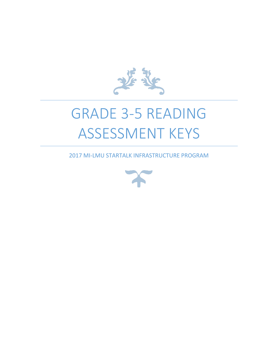

# GRADE 3-5 READING ASSESSMENT KEYS

2017 MI-LMU STARTALK INFRASTRUCTURE PROGRAM

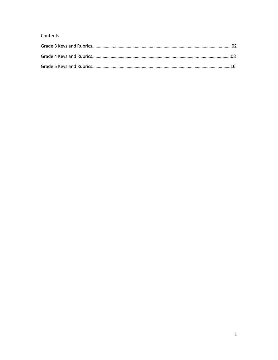#### Contents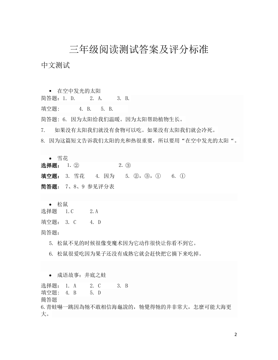## 三年级阅读测试答案及评分标准

中文测试

 在空中发光的太阳 简答题:1. D. 2. A. 3. B. 填空题: 4. B. 5. B. 简答题: 6. 因为太阳给我们温暖。因为太阳帮助植物生长。 7. 如果没有太阳我们就没有食物可以吃。如果没有太阳我们就会冷死。 8. 因为这篇短文告诉我们太阳的光和热很重要,所以要用"在空中发光的太阳"。 雪花 选择题:  $1.$  (2)  $2.$  (3) 填空题: 3. 雪花 4. 因为 5. ②, ③, ① 6. ①

简答题: 7、8、9 参见评分表

松鼠

选择题 1.C 2.A

填空题: 3. C 4. D

简答题:

5. 松鼠不见的时候很像变魔术因为它动作很快让你看不到它。

6. 松鼠很爱吃因为果子还没有成熟它就会赶快把它摘下来吃掉。

成语故事:井底之蛙

选择题: 1. A 2. C 3. B 填空題: 4. B 5. D 簡答題 6.青蛙嚇一跳因為牠不敢相信海龜說的,牠覺得牠的井非常大,怎麼可能大海更 大。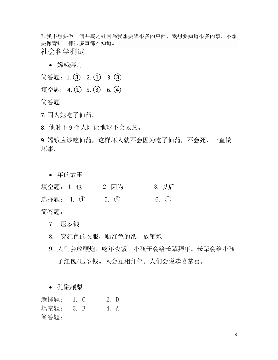7.我不想要做一個井底之蛙因為我想要學很多的東西,我想要知道很多的事,不想 要像青蛙一樣很多事都不知道。 社会科学测试

嫦娥奔月

简答题: 1. (3) 2. (1) 3. (3) 填空题: 4. ① 5. ③ 6. 4 简答题:

7. 因为她吃了仙药。

8. 他射下 9 个太阳让地球不会太热。

9. 嫦娥应该吃仙药,这样坏人就不会因为吃了仙药,不会死,一直做 坏事。

• 年的故事

填空题: 1. 也 2. 因为 3. 以后 选择题: 4. 4 5. 3 6. 1 简答题:

7. 压岁钱

8. 穿红色的衣服,贴红色的纸,放鞭炮

9. 人们会放鞭炮,吃年夜饭。小孩子会给长辈拜年。长辈会给小孩 子红包/压岁钱。人会互相拜年。人们会说恭喜恭喜。

孔融讓梨

選擇題: 1. C 2. D 填空題: 3. B 4. A 簡答題:

3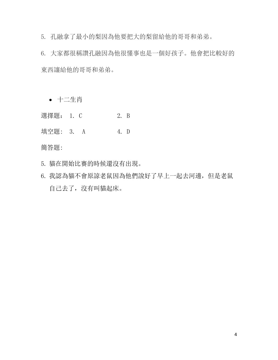5. 孔融拿了最小的梨因為他要把大的梨留給他的哥哥和弟弟。

6. 大家都很稱讚孔融因為他很懂事也是一個好孩子。他會把比較好的 東西讓給他的哥哥和弟弟。

十二生肖

選擇題: 1. C 2. B

填空題: 3. A 4. D

簡答題:

- 5. 貓在開始比賽的時候還沒有出現。
- 6. 我認為貓不會原諒老鼠因為他們說好了早上一起去河邊,但是老鼠 自己去了,沒有叫貓起床。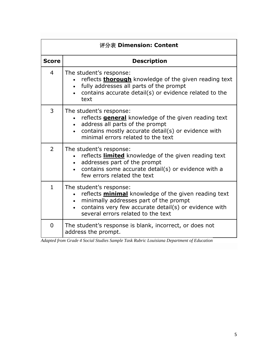| 评分表 Dimension: Content |                                                                                                                                                                                                                                 |  |  |
|------------------------|---------------------------------------------------------------------------------------------------------------------------------------------------------------------------------------------------------------------------------|--|--|
| <b>Score</b>           | <b>Description</b>                                                                                                                                                                                                              |  |  |
| $\overline{4}$         | The student's response:<br>reflects <b>thorough</b> knowledge of the given reading text<br>fully addresses all parts of the prompt<br>contains accurate detail(s) or evidence related to the<br>$\bullet$<br>text               |  |  |
| 3                      | The student's response:<br>reflects <b>general</b> knowledge of the given reading text<br>address all parts of the prompt<br>contains mostly accurate detail(s) or evidence with<br>minimal errors related to the text          |  |  |
| $\overline{2}$         | The student's response:<br>reflects <b>limited</b> knowledge of the given reading text<br>addresses part of the prompt<br>contains some accurate detail(s) or evidence with a<br>few errors related the text                    |  |  |
| $\mathbf{1}$           | The student's response:<br>reflects <b>minimal</b> knowledge of the given reading text<br>minimally addresses part of the prompt<br>contains very few accurate detail(s) or evidence with<br>several errors related to the text |  |  |
| $\overline{0}$         | The student's response is blank, incorrect, or does not<br>address the prompt.                                                                                                                                                  |  |  |

*Adapted from Grade 4 Social Studies Sample Task Rubric Louisiana Department of Education*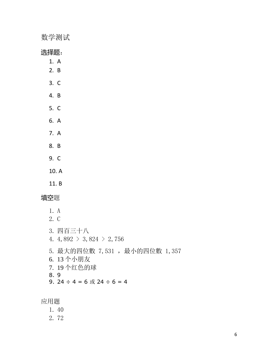数学测试

选择题:

- 1. A
- 2. B
- 3. C
- 4. B
- 5. C
- 6. A
- 7. A
- 8. B
- 9. C
- 10. A
- 11. B

填空題

- 1. A 2. C
- 3. 四百三十八 4.  $4,892 \t > 3,824 \t > 2,756$ 5. 最大的四位數 7,531, 最小的四位數 1,357 6. 13 个小朋友 7. 19 个红色的球 8. 9 9.  $24 \div 4 = 6$  或  $24 \div 6 = 4$

应用题

- 1. 40
- 2. 72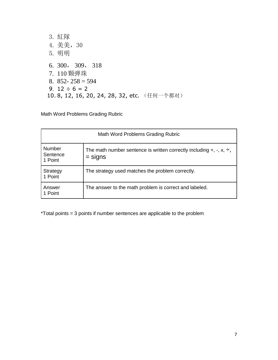3. 紅隊 4. 美美,30 5. 明明 6. 300, 309, 318 7. 110 颗弹珠 8.  $852 - 258 = 594$ 9.  $12 \div 6 = 2$ 10. 8, 12, 16, 20, 24, 28, 32, etc. (任何一个都对)

Math Word Problems Grading Rubric

| Math Word Problems Grading Rubric    |                                                                                                      |  |  |
|--------------------------------------|------------------------------------------------------------------------------------------------------|--|--|
| <b>Number</b><br>Sentence<br>1 Point | The math number sentence is written correctly including $+$ , $-$ , $\times$ , $\div$ ,<br>$=$ signs |  |  |
| Strategy<br>1 Point                  | The strategy used matches the problem correctly.                                                     |  |  |
| Answer<br>1 Point                    | The answer to the math problem is correct and labeled.                                               |  |  |

\*Total points = 3 points if number sentences are applicable to the problem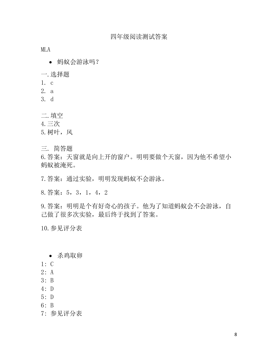MLA

- 蚂蚁会游泳吗?
- 一.选择题
- 1. c
- 2. a
- 3. d
- 二.填空
- 4.三次
- 5.树叶,风
- 三. 简答题

6.答案:天窗就是向上开的窗户。明明要做个天窗,因为他不希望小 蚂蚁被淹死。

- 7.答案:通过实验,明明发现蚂蚁不会游泳。
- 8.答案:5,3,1,4,2

9.答案:明明是个有好奇心的孩子。他为了知道蚂蚁会不会游泳,自 己做了很多次实验,最后终于找到了答案。

10.参见评分表

- 杀鸡取卵
- 1: C
- 2: A
- 3: B
- 4: D
- 5: D
- 6: B
- 7: 参见评分表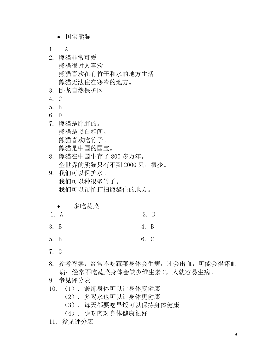- 国宝熊猫
- 1. A
- 2. 熊猫非常可爱 熊猫很讨人喜欢 熊猫喜欢在有竹子和水的地方生活 熊猫无法住在寒冷的地方。
- 3. 卧龙自然保护区
- 4. C
- 5. B
- 6. D
- 7. 熊猫是胖胖的。 熊猫是黑白相间。 熊猫喜欢吃竹子。 熊猫是中国的国宝。
- 8. 熊猫在中国生存了 800 多万年。 全世界的熊猫只有不到 2000 只,很少。
- 9. 我们可以保护水。 我们可以种很多竹子。 我们可以帮忙打扫熊猫住的地方。
	- 多吃蔬菜
- 1. A 2. D
- 3. B 4. B
- 5. B 6. C
- 7. C
- 8. 参考答案:经常不吃蔬菜身体会生病,牙会出血,可能会得坏血 病;经常不吃蔬菜身体会缺少维生素 C,人就容易生病。
- 9. 参见评分表
- 10. (1). 锻炼身体可以让身体变健康
	- (2). 多喝水也可以让身体更健康
	- (3). 每天都要吃早饭可以保持身体健康
	- (4). 少吃肉对身体健康很好
- 11. 参见评分表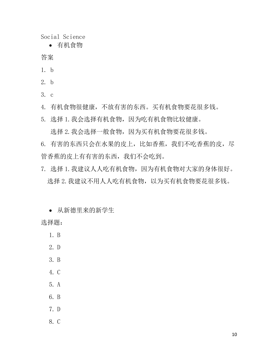Social Science

有机食物

答案

- 1. b
- 2. b
- 3. c

4. 有机食物很健康,不放有害的东西。买有机食物要花很多钱。

5. 选择 1.我会选择有机食物,因为吃有机食物比较健康。

选择 2. 我会选择一般食物,因为买有机食物要花很多钱。

6. 有害的东西只会在水果的皮上,比如香蕉,我们不吃香蕉的皮,尽 管香蕉的皮上有有害的东西,我们不会吃到。

7. 选择 1.我建议人人吃有机食物,因为有机食物对大家的身体很好。 选择 2. 我建议不用人人吃有机食物, 以为买有机食物要花很多钱。

从新德里来的新学生

选择题:

1. B

- 2. D
- 3. B
- 4. C
- 5. A
- 6. B
- 7. D
- 8. C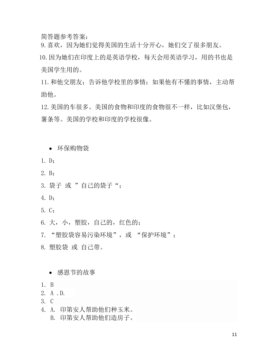简答题参考答案:

9.喜欢,因为她们觉得美国的生活十分开心,她们交了很多朋友。

 10.因为她们在印度上的是英语学校,每天会用英语学习,用的书也是 美国学生用的。

11.和他交朋友;告诉他学校里的事情;如果他有不懂的事情,主动帮 助他。

12.美国的车很多。美国的食物和印度的食物很不一样,比如汉堡包, 薯条等。美国的学校和印度的学校很像。

- 环保购物袋
- 1. D;
- 2. B;
- 3. 袋子 或 "自己的袋子";
- 4. D;
- 5. C;
- 6. 大,小, 塑胶,自己的,红色的;
- 7. "塑胶袋容易污染环境",或 "保护环境";
- 8. 塑胶袋 或 自己带。
	- 感恩节的故事
- 1. B
- 2. A .D.
- 3. C
- 4. A. 印第安人帮助他们种玉米。
	- B. 印第安人帮助他们造房子。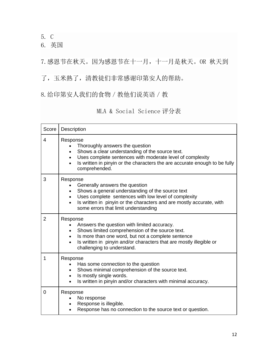5. C

6. 英国

7.感恩节在秋天。因为感恩节在十一月,十一月是秋天。OR 秋天到

了,玉米熟了,清教徒们非常感谢印第安人的帮助。

8.给印第安人我们的食物/教他们说英语/教

| MLA & Social Science 评分表 |  |  |
|--------------------------|--|--|
|--------------------------|--|--|

| Score          | Description                                                                                                                                                                                                                                                                                       |  |  |  |
|----------------|---------------------------------------------------------------------------------------------------------------------------------------------------------------------------------------------------------------------------------------------------------------------------------------------------|--|--|--|
| 4              | Response<br>Thoroughly answers the question<br>$\bullet$<br>Shows a clear understanding of the source text.<br>$\bullet$<br>Uses complete sentences with moderate level of complexity<br>$\bullet$<br>Is written in pinyin or the characters the are accurate enough to be fully<br>comprehended. |  |  |  |
| 3              | Response<br>Generally answers the question<br>Shows a general understanding of the source text<br>Uses complete sentences with low level of complexity<br>$\bullet$<br>Is written in pinyin or the characters and are mostly accurate, with<br>$\bullet$<br>some errors that limit understanding  |  |  |  |
| $\overline{2}$ | Response<br>Answers the question with limited accuracy.<br>Shows limited comprehension of the source text.<br>Is more than one word, but not a complete sentence<br>$\bullet$<br>Is written in pinyin and/or characters that are mostly illegible or<br>challenging to understand.                |  |  |  |
| 1              | Response<br>Has some connection to the question<br>Shows minimal comprehension of the source text.<br>Is mostly single words.<br>$\bullet$<br>Is written in pinyin and/or characters with minimal accuracy.                                                                                       |  |  |  |
| 0              | Response<br>No response<br>$\bullet$<br>Response is illegible.<br>Response has no connection to the source text or question.                                                                                                                                                                      |  |  |  |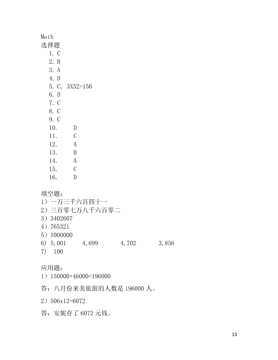| Math |                |
|------|----------------|
| 选择题  |                |
| 1. C |                |
| 2. B |                |
| 3. A |                |
| 4. D |                |
|      | 5. C, 3X52=156 |
| 6. D |                |
| 7. C |                |
| 8. C |                |
| 9. C |                |
| 10.  | D              |
| 11.  | C              |
| 12.  | A              |
| 13.  | B              |
| 14.  | A              |
| 15.  | C              |
| 16.  | $\vert$ )      |

填空题:

1)一万三千六百四十一 2)三百零七万八千六百零二 3)3402607 4)765321 5)1000000 6) 5,001 4,699 4,702 3,856 7) 100

#### 应用题:

- 1)150000+46000=196000
- 答:八月份来美旅游的人数是 196000 人。

2)506x12=6072

答:安妮存了 6072 元钱。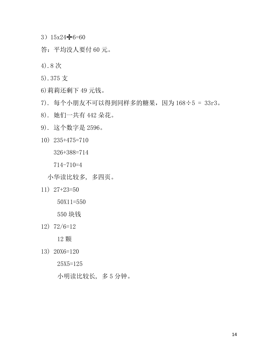- $3)15x24 6=60$
- 答:平均没人要付 60 元。
- 4).8 次
- 5).375 支
- 6)莉莉还剩下 49 元钱。
- 7). 每个小朋友不可以得到同样多的糖果,因为 168÷5 = 33r3。
- 8). 她们一共有 442 朵花。
- 9). 这个数字是 2596。
- 10) 235+475=710

326+388=714

714-710=4

小华读比较多, 多四页。

11) 27+23=50

50X11=550

550 块钱

12) 72/6=12

12 颗

13) 20X6=120

25X5=125

小明读比较长, 多 5 分钟。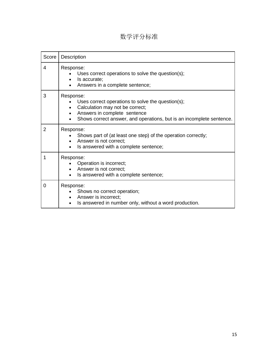## 数学评分标准

| Score          | Description                                                                                                                                                                                               |  |  |
|----------------|-----------------------------------------------------------------------------------------------------------------------------------------------------------------------------------------------------------|--|--|
| 4              | Response:<br>Uses correct operations to solve the question(s);<br>Is accurate;<br>Answers in a complete sentence;                                                                                         |  |  |
| 3              | Response:<br>Uses correct operations to solve the question(s);<br>Calculation may not be correct;<br>Answers in complete sentence<br>Shows correct answer, and operations, but is an incomplete sentence. |  |  |
| $\overline{2}$ | Response:<br>Shows part of (at least one step) of the operation correctly;<br>Answer is not correct;<br>Is answered with a complete sentence;                                                             |  |  |
| 1              | Response:<br>Operation is incorrect;<br>Answer is not correct;<br>Is answered with a complete sentence;                                                                                                   |  |  |
| $\Omega$       | Response:<br>Shows no correct operation;<br>Answer is incorrect;<br>Is answered in number only, without a word production.                                                                                |  |  |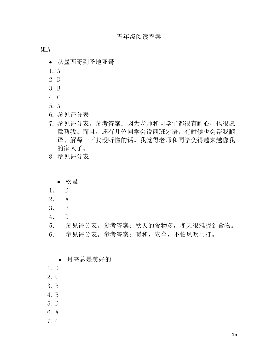MLA

- 从墨西哥到圣地亚哥
- 1. A
- 2. D
- 3. B
- 4. C
- 5. A
- 6. 参见评分表
- 7. 参见评分表。参考答案:因为老师和同学们都很有耐心,也很愿 意帮我。而且,还有几位同学会说西班牙语,有时候也会帮我翻 译、解释一下我没听懂的话。我觉得老师和同学变得越来越像我 的家人了。
- 8. 参见评分表
	- 松鼠
- 1. D
- 2. A
- 3. B
- 4. D
- 5. 参见评分表。参考答案:秋天的食物多,冬天很难找到食物。
- 6. 参见评分表。参考答案:暖和,安全,不怕风吹雨打。
	- 月亮总是美好的
- 1. D
- 2. C
- 3. B
- 4. B
- 5. D
- 6. A
- 7. C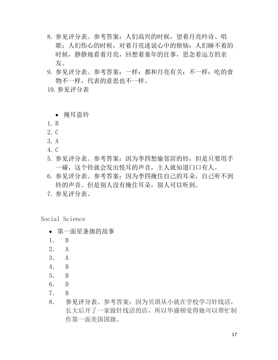- 8. 参见评分表。参考答案:人们高兴的时候,望着月亮吟诗、唱 歌;人们伤心的时候,对着月亮述说心中的烦恼;人们睡不着的 时候,静静地看着月亮,回想着童年的往事,思念着远方的亲 友。
- 9. 参见评分表。参考答案: 一样: 都和月亮有关; 不一样: 吃的食 物不一样,代表的意思也不一样。
- 10.参见评分表

掩耳盗铃

- 1. B
- 2. C
- 3. A
- 4. C
- 5. 参见评分表。参考答案:因为李四想偷邻居的铃,但是只要用手 一碰,这个铃就会发出悦耳的声音,主人就知道门口有人。
- 6. 参见评分表。参考答案:因为李四掩住自己的耳朵,自己听不到 铃的声音。但是别人没有掩住耳朵,别人可以听到。
- 7. 参见评分表。

Social Science

- 第一面星条旗的故事
- 1. B
- 2. A
- 3. A
- 4. B
- 5. B
- 6. D
- 7. B
- 8. 参见评分表。参考答案:因为贝琪从小就在学校学习针线活, 长大后开了一家做针线活的店,所以华盛顿觉得她可以帮忙制 作第一面美国国旗。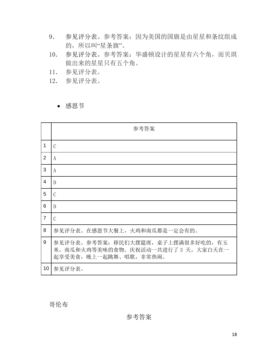- 9. 参见评分表。参考答案:因为美国的国旗是由星星和条纹组成 的,所以叫"星条旗"。
- 10. 参见评分表。参考答案:华盛顿设计的星星有六个角,而贝琪 做出来的星星只有五个角。
- 11. 参见评分表。
- 12. 参见评分表。

感恩节

|                 | 参考答案                                                                                                   |
|-----------------|--------------------------------------------------------------------------------------------------------|
| $\mathbf 1$     | $\mathcal{C}$                                                                                          |
| $\overline{2}$  | A                                                                                                      |
| 3               | A                                                                                                      |
| $\overline{4}$  | D                                                                                                      |
| 5               | C                                                                                                      |
| 6               | D                                                                                                      |
| $\overline{7}$  | $\mathcal{C}$                                                                                          |
| 8               | 参见评分表。在感恩节大餐上, 火鸡和南瓜都是一定会有的。                                                                           |
| 9               | 参见评分表。参考答案: 移民们大摆筵席, 桌子上摆满很多好吃的, 有玉<br>米, 南瓜和火鸡等美味的食物。庆祝活动一共进行了 3 天, 大家白天在一<br>起享受美食, 晚上一起跳舞、唱歌, 非常热闹。 |
| 10 <sup>°</sup> | 参见评分表。                                                                                                 |

哥伦布

参考答案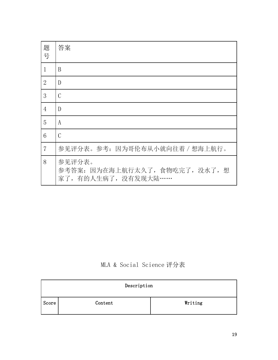| 题<br>号         | 答案                                                              |
|----------------|-----------------------------------------------------------------|
| $\mathbf{1}$   | B                                                               |
| $\overline{2}$ | D                                                               |
| 3              | C                                                               |
| 4              | $\overline{D}$                                                  |
| 5              | A                                                               |
| 6              | C                                                               |
| $\overline{7}$ | 参见评分表。参考: 因为哥伦布从小就向往着 / 想海上航行。                                  |
| 8              | 参见评分表。<br>参考答案: 因为在海上航行太久了, 食物吃完了, 没水了, 想<br>家了,有的人生病了,没有发现大陆…… |

MLA & Social Science 评分表

| Description |         |         |  |  |
|-------------|---------|---------|--|--|
| Score       | Content | Writing |  |  |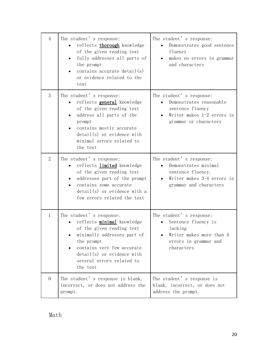| $\overline{4}$ | The student's response:<br>reflects thorough knowledge<br>of the given reading text<br>fully addresses all parts of<br>the prompt<br>contains accurate $\text{detail}(s)$<br>or evidence related to the<br>text                               | The student's response:<br>Demonstrates good sentence<br>fluency<br>makes no errors in grammar<br>$\bullet$<br>and characters   |
|----------------|-----------------------------------------------------------------------------------------------------------------------------------------------------------------------------------------------------------------------------------------------|---------------------------------------------------------------------------------------------------------------------------------|
| 3              | The student's response:<br>reflects <b>general</b> knowledge<br>of the given reading text<br>address all parts of the<br>prompt<br>contains mostly accurate<br>$\text{detail}(s)$ or evidence with<br>minimal errors related to<br>the text   | The student's response:<br>Demonstrates reasonable<br>sentence fluency<br>Writer makes $1-2$ errors in<br>grammar or characters |
| $\overline{2}$ | The student's response:<br>reflects limited knowledge<br>of the given reading text<br>addresses part of the prompt<br>contains some accurate<br>$\text{detail}(s)$ or evidence with a<br>few errors related the text                          | The student's response:<br>Demonstrates minimal<br>sentence fluency.<br>Writer makes 3-4 errors in<br>grammar and characters    |
| $\mathbf{1}$   | The student's response:<br>reflects minimal knowledge<br>of the given reading text<br>minimally addresses part of<br>the prompt<br>contains very few accurate<br>$\text{detail}(s)$ or evidence with<br>several errors related to<br>the text | The student's response:<br>Sentence fluency is<br>lacking<br>Writer makes more than 4<br>errors in grammar and<br>characters    |
| $\overline{0}$ | The student's response is blank,<br>incorrect, or does not address the<br>prompt.                                                                                                                                                             | The student's response is<br>blank, incorrect, or does not<br>address the prompt.                                               |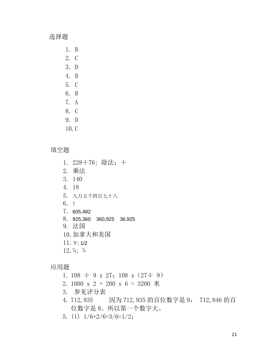选择题

1. B 2. C 3. D 4. B 5. C 6. B 7. A 8. C

- 9. D
- 10.C

填空题

- 1. 228÷76; 除法; ÷ 2. 乘法
- 3. 140
- 4. 18
- 5. 九万五千四百七十八
- 6. 7
- 7. 605,482
- 8. 925,360 360,925 36,925
- 9. 法国
- 10.加拿大和美国
- 11.  $\#$ ; 1/2
- $12.$   $\frac{1}{4}$ ;  $\frac{3}{4}$

应用题

- 1. 108  $\div$  9 x 27; 108 x (27 $\div$  9)
- 2. 1000 x 2 + 200 x 6 = 3200 米
- 3. 参见评分表
- 4. 712,935 因为 712,935 的百位数字是 9, 712,846 的百 位数字是 8。所以第一个数字大。
- 5. (1)  $1/6+2/6=3/6=1/2$ ;